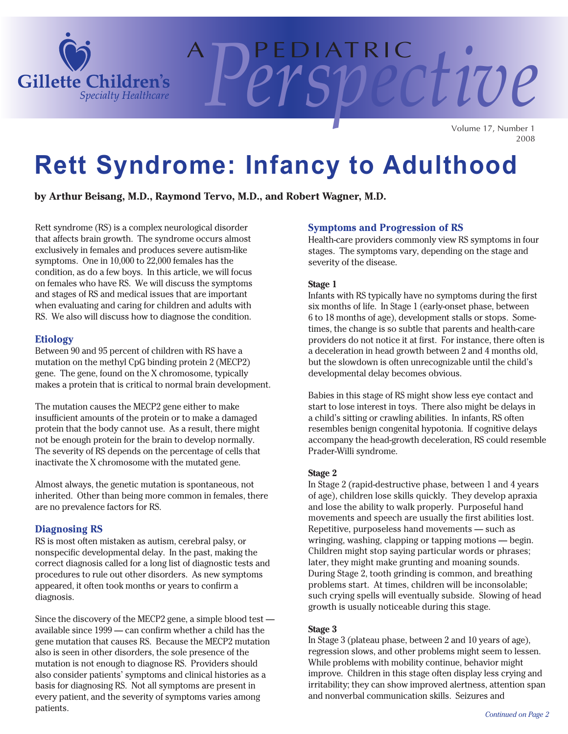

Volume 17, Number 1 2008

*Perspective*

# **Rett Syndrome: Infancy to Adulthood**

A PEDIATRIC

**by Arthur Beisang, M.D., Raymond Tervo, M.D., and Robert Wagner, M.D.**

Rett syndrome (RS) is a complex neurological disorder that affects brain growth. The syndrome occurs almost exclusively in females and produces severe autism-like symptoms. One in 10,000 to 22,000 females has the condition, as do a few boys. In this article, we will focus on females who have RS. We will discuss the symptoms and stages of RS and medical issues that are important when evaluating and caring for children and adults with RS. We also will discuss how to diagnose the condition.

#### **Etiology**

Between 90 and 95 percent of children with RS have a mutation on the methyl CpG binding protein 2 (MECP2) gene. The gene, found on the X chromosome, typically makes a protein that is critical to normal brain development.

The mutation causes the MECP2 gene either to make insufficient amounts of the protein or to make a damaged protein that the body cannot use. As a result, there might not be enough protein for the brain to develop normally. The severity of RS depends on the percentage of cells that inactivate the X chromosome with the mutated gene.

Almost always, the genetic mutation is spontaneous, not inherited. Other than being more common in females, there are no prevalence factors for RS.

#### **Diagnosing RS**

RS is most often mistaken as autism, cerebral palsy, or nonspecific developmental delay. In the past, making the correct diagnosis called for a long list of diagnostic tests and procedures to rule out other disorders. As new symptoms appeared, it often took months or years to confirm a diagnosis.

Since the discovery of the MECP2 gene, a simple blood test available since 1999 — can confirm whether a child has the gene mutation that causes RS. Because the MECP2 mutation also is seen in other disorders, the sole presence of the mutation is not enough to diagnose RS. Providers should also consider patients' symptoms and clinical histories as a basis for diagnosing RS. Not all symptoms are present in every patient, and the severity of symptoms varies among patients.

#### **Symptoms and Progression of RS**

Health-care providers commonly view RS symptoms in four stages. The symptoms vary, depending on the stage and severity of the disease.

#### **Stage 1**

Infants with RS typically have no symptoms during the first six months of life. In Stage 1 (early-onset phase, between 6 to 18 months of age), development stalls or stops. Sometimes, the change is so subtle that parents and health-care providers do not notice it at first. For instance, there often is a deceleration in head growth between 2 and 4 months old, but the slowdown is often unrecognizable until the child's developmental delay becomes obvious.

Babies in this stage of RS might show less eye contact and start to lose interest in toys. There also might be delays in a child's sitting or crawling abilities. In infants, RS often resembles benign congenital hypotonia. If cognitive delays accompany the head-growth deceleration, RS could resemble Prader-Willi syndrome.

#### **Stage 2**

In Stage 2 (rapid-destructive phase, between 1 and 4 years of age), children lose skills quickly. They develop apraxia and lose the ability to walk properly. Purposeful hand movements and speech are usually the first abilities lost. Repetitive, purposeless hand movements — such as wringing, washing, clapping or tapping motions — begin. Children might stop saying particular words or phrases; later, they might make grunting and moaning sounds. During Stage 2, tooth grinding is common, and breathing problems start. At times, children will be inconsolable; such crying spells will eventually subside. Slowing of head growth is usually noticeable during this stage.

#### **Stage 3**

In Stage 3 (plateau phase, between 2 and 10 years of age), regression slows, and other problems might seem to lessen. While problems with mobility continue, behavior might improve. Children in this stage often display less crying and irritability; they can show improved alertness, attention span and nonverbal communication skills. Seizures and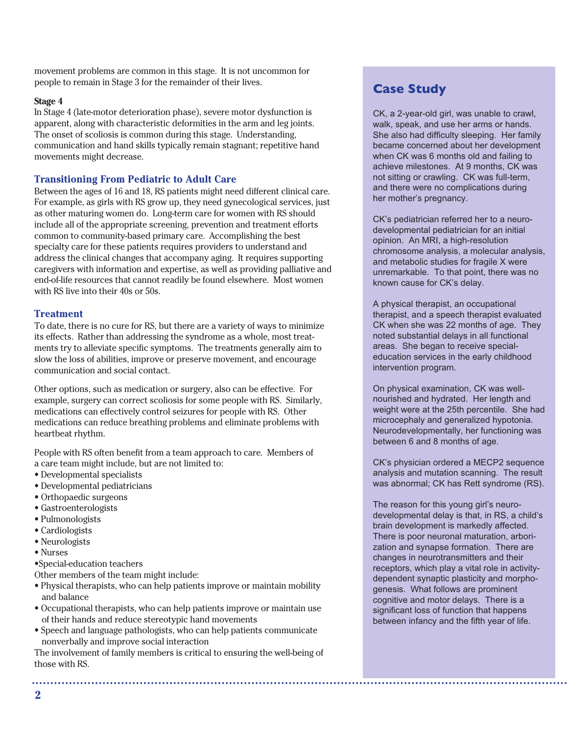movement problems are common in this stage. It is not uncommon for people to remain in Stage 3 for the remainder of their lives.

#### **Stage 4**

In Stage 4 (late-motor deterioration phase), severe motor dysfunction is apparent, along with characteristic deformities in the arm and leg joints. The onset of scoliosis is common during this stage. Understanding, communication and hand skills typically remain stagnant; repetitive hand movements might decrease.

#### **Transitioning From Pediatric to Adult Care**

Between the ages of 16 and 18, RS patients might need different clinical care. For example, as girls with RS grow up, they need gynecological services, just as other maturing women do. Long-term care for women with RS should include all of the appropriate screening, prevention and treatment efforts common to community-based primary care. Accomplishing the best specialty care for these patients requires providers to understand and address the clinical changes that accompany aging. It requires supporting caregivers with information and expertise, as well as providing palliative and end-of-life resources that cannot readily be found elsewhere. Most women with RS live into their 40s or 50s.

#### **Treatment**

To date, there is no cure for RS, but there are a variety of ways to minimize its effects. Rather than addressing the syndrome as a whole, most treatments try to alleviate specific symptoms. The treatments generally aim to slow the loss of abilities, improve or preserve movement, and encourage communication and social contact.

Other options, such as medication or surgery, also can be effective. For example, surgery can correct scoliosis for some people with RS. Similarly, medications can effectively control seizures for people with RS. Other medications can reduce breathing problems and eliminate problems with heartbeat rhythm.

People with RS often benefit from a team approach to care. Members of a care team might include, but are not limited to:

- Developmental specialists
- Developmental pediatricians
- Orthopaedic surgeons
- Gastroenterologists
- Pulmonologists
- Cardiologists
- Neurologists
- Nurses

•Special-education teachers

Other members of the team might include:

- Physical therapists, who can help patients improve or maintain mobility and balance
- Occupational therapists, who can help patients improve or maintain use of their hands and reduce stereotypic hand movements
- Speech and language pathologists, who can help patients communicate nonverbally and improve social interaction

The involvement of family members is critical to ensuring the well-being of those with RS.

## **Case Study**

CK, a 2-year-old girl, was unable to crawl, walk, speak, and use her arms or hands. She also had difficulty sleeping. Her family became concerned about her development when CK was 6 months old and failing to achieve milestones. At 9 months, CK was not sitting or crawling. CK was full-term, and there were no complications during her mother's pregnancy.

CK's pediatrician referred her to a neurodevelopmental pediatrician for an initial opinion. An MRI, a high-resolution chromosome analysis, a molecular analysis, and metabolic studies for fragile X were unremarkable. To that point, there was no known cause for CK's delay.

A physical therapist, an occupational therapist, and a speech therapist evaluated CK when she was 22 months of age. They noted substantial delays in all functional areas. She began to receive specialeducation services in the early childhood intervention program.

On physical examination, CK was wellnourished and hydrated. Her length and weight were at the 25th percentile. She had microcephaly and generalized hypotonia. Neurodevelopmentally, her functioning was between 6 and 8 months of age.

CK's physician ordered a MECP2 sequence analysis and mutation scanning. The result was abnormal; CK has Rett syndrome (RS).

The reason for this young girl's neurodevelopmental delay is that, in RS, a child's brain development is markedly affected. There is poor neuronal maturation, arborization and synapse formation. There are changes in neurotransmitters and their receptors, which play a vital role in activitydependent synaptic plasticity and morphogenesis. What follows are prominent cognitive and motor delays. There is a significant loss of function that happens between infancy and the fifth year of life.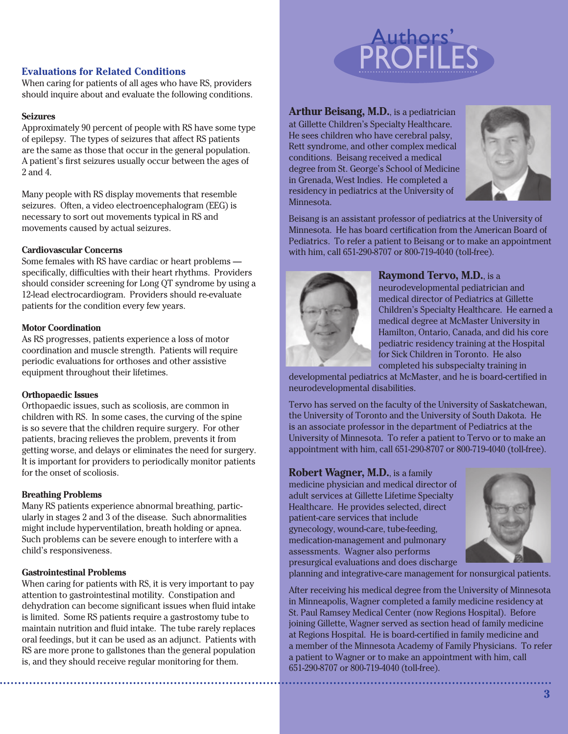#### **Evaluations for Related Conditions**

When caring for patients of all ages who have RS, providers should inquire about and evaluate the following conditions.

#### **Seizures**

Approximately 90 percent of people with RS have some type of epilepsy. The types of seizures that affect RS patients are the same as those that occur in the general population. A patient's first seizures usually occur between the ages of 2 and 4.

Many people with RS display movements that resemble seizures. Often, a video electroencephalogram (EEG) is necessary to sort out movements typical in RS and movements caused by actual seizures.

#### **Cardiovascular Concerns**

Some females with RS have cardiac or heart problems specifically, difficulties with their heart rhythms. Providers should consider screening for Long QT syndrome by using a 12-lead electrocardiogram. Providers should re-evaluate patients for the condition every few years.

#### **Motor Coordination**

As RS progresses, patients experience a loss of motor coordination and muscle strength. Patients will require periodic evaluations for orthoses and other assistive equipment throughout their lifetimes.

#### **Orthopaedic Issues**

Orthopaedic issues, such as scoliosis, are common in children with RS. In some cases, the curving of the spine is so severe that the children require surgery. For other patients, bracing relieves the problem, prevents it from getting worse, and delays or eliminates the need for surgery. It is important for providers to periodically monitor patients for the onset of scoliosis.

#### **Breathing Problems**

Many RS patients experience abnormal breathing, particularly in stages 2 and 3 of the disease. Such abnormalities might include hyperventilation, breath holding or apnea. Such problems can be severe enough to interfere with a child's responsiveness.

#### **Gastrointestinal Problems**

When caring for patients with RS, it is very important to pay attention to gastrointestinal motility. Constipation and dehydration can become significant issues when fluid intake is limited. Some RS patients require a gastrostomy tube to maintain nutrition and fluid intake. The tube rarely replaces oral feedings, but it can be used as an adjunct. Patients with RS are more prone to gallstones than the general population is, and they should receive regular monitoring for them.



Arthur Beisang, M.D., is a pediatrician at Gillette Children's Specialty Healthcare. He sees children who have cerebral palsy, Rett syndrome, and other complex medical conditions. Beisang received a medical degree from St. George's School of Medicine in Grenada, West Indies. He completed a residency in pediatrics at the University of Minnesota.



Beisang is an assistant professor of pediatrics at the University of Minnesota. He has board certification from the American Board of Pediatrics. To refer a patient to Beisang or to make an appointment with him, call 651-290-8707 or 800-719-4040 (toll-free).



#### **Raymond Tervo, M.D.**, is a

neurodevelopmental pediatrician and medical director of Pediatrics at Gillette Children's Specialty Healthcare. He earned a medical degree at McMaster University in Hamilton, Ontario, Canada, and did his core pediatric residency training at the Hospital for Sick Children in Toronto. He also completed his subspecialty training in

developmental pediatrics at McMaster, and he is board-certified in neurodevelopmental disabilities.

Tervo has served on the faculty of the University of Saskatchewan, the University of Toronto and the University of South Dakota. He is an associate professor in the department of Pediatrics at the University of Minnesota. To refer a patient to Tervo or to make an appointment with him, call 651-290-8707 or 800-719-4040 (toll-free).

#### **Robert Wagner, M.D.**, is a family

medicine physician and medical director of adult services at Gillette Lifetime Specialty Healthcare. He provides selected, direct patient-care services that include gynecology, wound-care, tube-feeding, medication-management and pulmonary assessments. Wagner also performs presurgical evaluations and does discharge



planning and integrative-care management for nonsurgical patients.

After receiving his medical degree from the University of Minnesota in Minneapolis, Wagner completed a family medicine residency at St. Paul Ramsey Medical Center (now Regions Hospital). Before joining Gillette, Wagner served as section head of family medicine at Regions Hospital. He is board-certified in family medicine and a member of the Minnesota Academy of Family Physicians. To refer a patient to Wagner or to make an appointment with him, call 651-290-8707 or 800-719-4040 (toll-free).